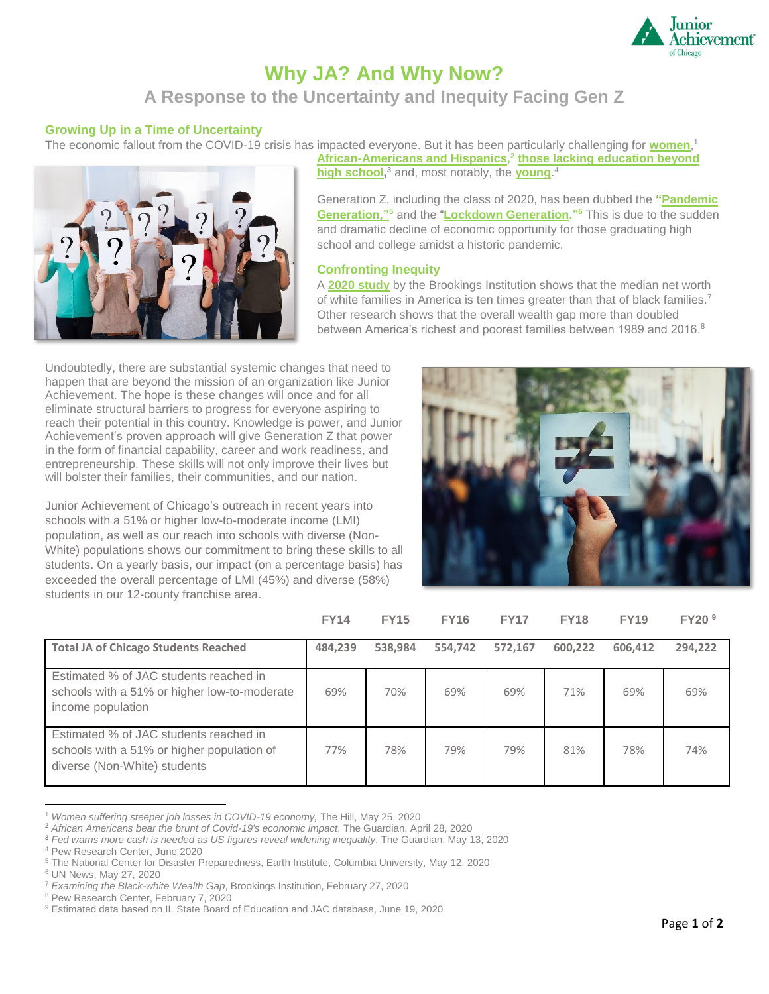

# **Why JA? And Why Now?**

# **A Response to the Uncertainty and Inequity Facing Gen Z**

# **Growing Up in a Time of Uncertainty**

The economic fallout from the COVID-19 crisis has impacted everyone. But it has been particularly challenging for **[women](https://thehill.com/policy/finance/499250-women-suffering-steeper-job-losses-in-covid-19-economy)**, 1



**[African-Americans and Hispanics,](https://www.theguardian.com/us-news/2020/apr/28/african-americans-unemployment-covid-19-economic-impact) 2 [those lacking education beyond](https://www.theguardian.com/business/2020/may/13/federal-reserve-coronavirus-jerome-powell-inequality)  [high school,](https://www.theguardian.com/business/2020/may/13/federal-reserve-coronavirus-jerome-powell-inequality) <sup>3</sup>** and, most notably, the **[young](https://www.pewresearch.org/fact-tank/2020/06/11/unemployment-rose-higher-in-three-months-of-covid-19-than-it-did-in-two-years-of-the-great-recession/)**. 4

Generation Z, including the class of 2020, has been dubbed the **["Pandemic](https://ncdp.columbia.edu/in-focus/todays-children-are-the-pandemic-generation/)  [Generation,"](https://ncdp.columbia.edu/in-focus/todays-children-are-the-pandemic-generation/)<sup>5</sup>** and the "**[Lockdown Generation.](https://news.un.org/en/story/2020/05/1064912)"<sup>6</sup>** This is due to the sudden and dramatic decline of economic opportunity for those graduating high school and college amidst a historic pandemic.

# **Confronting Inequity**

A **[2020 study](https://www.brookings.edu/blog/up-front/2020/02/27/examining-the-black-white-wealth-gap/)** by the Brookings Institution shows that the median net worth of white families in America is ten times greater than that of black families.<sup>7</sup> Other research shows that the overall wealth gap more than doubled between America's richest and poorest families between 1989 and 2016.<sup>8</sup>

Undoubtedly, there are substantial systemic changes that need to happen that are beyond the mission of an organization like Junior Achievement. The hope is these changes will once and for all eliminate structural barriers to progress for everyone aspiring to reach their potential in this country. Knowledge is power, and Junior Achievement's proven approach will give Generation Z that power in the form of financial capability, career and work readiness, and entrepreneurship. These skills will not only improve their lives but will bolster their families, their communities, and our nation.

Junior Achievement of Chicago's outreach in recent years into schools with a 51% or higher low-to-moderate income (LMI) population, as well as our reach into schools with diverse (Non-White) populations shows our commitment to bring these skills to all students. On a yearly basis, our impact (on a percentage basis) has exceeded the overall percentage of LMI (45%) and diverse (58%) students in our 12-county franchise area.



|                                                                                                                      | <b>FY14</b> | <b>FY15</b> | <b>FY16</b> | <b>FY17</b> | <b>FY18</b> | <b>FY19</b> | FY20 <sup>9</sup> |
|----------------------------------------------------------------------------------------------------------------------|-------------|-------------|-------------|-------------|-------------|-------------|-------------------|
| <b>Total JA of Chicago Students Reached</b>                                                                          | 484,239     | 538,984     | 554.742     | 572,167     | 600,222     | 606,412     | 294,222           |
| Estimated % of JAC students reached in<br>schools with a 51% or higher low-to-moderate<br>income population          | 69%         | 70%         | 69%         | 69%         | 71%         | 69%         | 69%               |
| Estimated % of JAC students reached in<br>schools with a 51% or higher population of<br>diverse (Non-White) students | 77%         | 78%         | 79%         | 79%         | 81%         | 78%         | 74%               |

<sup>1</sup> *Women suffering steeper job losses in COVID-19 economy,* The Hill, May 25, 2020

**<sup>2</sup>** *African Americans bear the brunt of Covid-19's economic impact*, The Guardian, April 28, 2020

**<sup>3</sup>** *Fed warns more cash is needed as US figures reveal widening inequality*, The Guardian, May 13, 2020

<sup>4</sup> Pew Research Center, June 2020

<sup>5</sup> The National Center for Disaster Preparedness, Earth Institute, Columbia University, May 12, 2020

<sup>6</sup> UN News, May 27, 2020

<sup>7</sup> *Examining the Black-white Wealth Gap*, Brookings Institution, February 27, 2020

<sup>8</sup> Pew Research Center, February 7, 2020

<sup>9</sup> Estimated data based on IL State Board of Education and JAC database, June 19, 2020